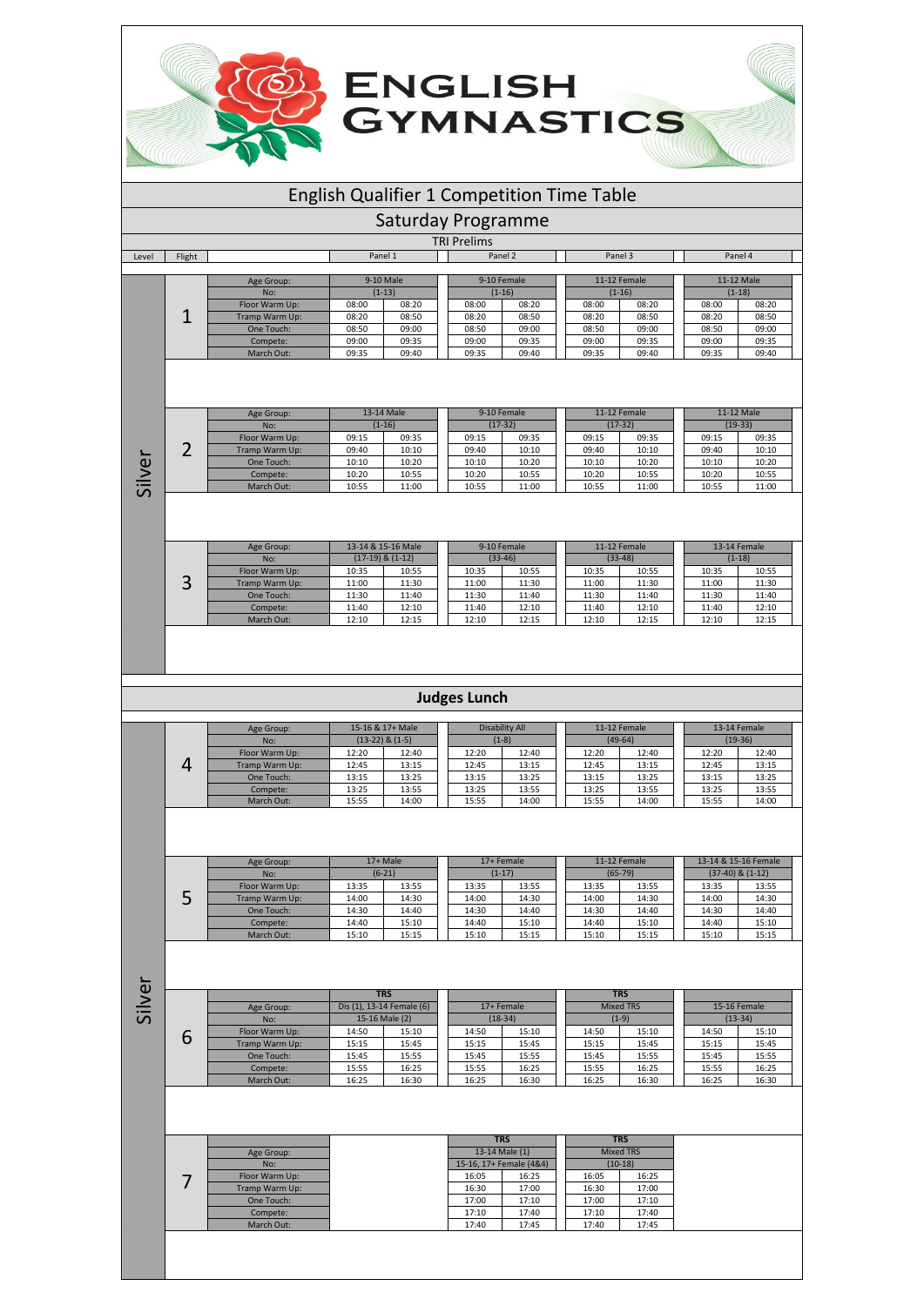## English Qualifier 1 Competition Time Table

**ENGLISH<br>GYMNASTICS** 

Saturday Programme

| <b>AVAL</b> | -light |
|-------------|--------|

|        |                |         |           | <b>TRI Prelims</b> |             |         |              |       |            |  |
|--------|----------------|---------|-----------|--------------------|-------------|---------|--------------|-------|------------|--|
| Flight |                | Panel 1 |           |                    | Panel 2     | Panel 3 |              |       | Panel 4    |  |
|        |                |         |           |                    |             |         |              |       |            |  |
|        | Age Group:     |         | 9-10 Male |                    | 9-10 Female |         | 11-12 Female |       | 11-12 Male |  |
|        | No:            |         | $(1-13)$  |                    | $(1-16)$    |         | $(1-16)$     |       | $(1-18)$   |  |
|        | Floor Warm Up: | 08:00   | 08:20     | 08:00              | 08:20       | 08:00   | 08:20        | 08:00 | 08:20      |  |
|        | Tramp Warm Up: | 08:20   | 08:50     | 08:20              | 08:50       | 08:20   | 08:50        | 08:20 | 08:50      |  |
|        | One Touch:     | 08:50   | 09:00     | 08:50              | 09:00       | 08:50   | 09:00        | 08:50 | 09:00      |  |
|        | Compete:       | 09:00   | 09:35     | 09:00              | 09:35       | 09:00   | 09:35        | 09:00 | 09:35      |  |
|        | March Out:     | 09:35   | 09:40     | 09:35              | 09:40       | 09:35   | 09:40        | 09:35 | 09:40      |  |

|   | Age Group:     |       | 13-14 Male |  |       | 9-10 Female |       | 11-12 Female |       | 11-12 Male |       |       |
|---|----------------|-------|------------|--|-------|-------------|-------|--------------|-------|------------|-------|-------|
|   | No:            |       | $(1-16)$   |  |       | $(17-32)$   |       | $(17-32)$    |       | $(19-33)$  |       |       |
|   | Floor Warm Up: | 09:15 | 09:35      |  | 09:15 | 09:35       | 09:15 | 09:35        | 09:15 | 09:35      |       |       |
| ∽ | Tramp Warm Up: | 09:40 | 10:10      |  | 09:40 | 10:10       | 09:40 | 10:10        | 09:40 | 10:10      |       |       |
|   | One Touch:     | 10:10 | 10:20      |  | 10:10 | 10:20       | 10:10 | 10:20        | 10:10 | 10:20      |       |       |
|   | Compete:       | 10:20 | 10:55      |  |       |             | 10:20 | 10:55        | 10:20 | 10:55      | 10:20 | 10:55 |
|   | March Out:     | 10:55 | 11:00      |  | 10:55 | 11:00       | 10:55 | 11:00        | 10:55 | 11:00      |       |       |

Silver

|   | Age Group:     |       | 13-14 & 15-16 Male   |       | 9-10 Female |       | 11-12 Female |       | 13-14 Female |
|---|----------------|-------|----------------------|-------|-------------|-------|--------------|-------|--------------|
|   | No:            |       | $(17-19)$ & $(1-12)$ |       | $(33-46)$   |       | $(33-48)$    |       | $(1-18)$     |
| ⌒ | Floor Warm Up: | 10:35 | 10:55                | 10:35 | 10:55       | 10:35 | 10:55        | 10:35 | 10:55        |
| ◡ | Tramp Warm Up: | 11:00 | 11:30                | 11:00 | 11:30       | 11:00 | 11:30        | 11:00 | 11:30        |
|   | One Touch:     | 11:30 | 11:40                | 11:30 | 11:40       | 11:30 | 11:40        | 11:30 | 11:40        |
|   | Compete:       | 11:40 | 12:10                | 11:40 | 12:10       | 11:40 | 12:10        | 11:40 | 12:10        |
|   | March Out:     | 12:10 | 12:15                | 12:10 | 12:15       | 12:10 | 12:15        | 12:10 | 12:15        |

## **Judges Lunch**

| Age Group:     |       | 15-16 & 17+ Male    |       | Disability All |       | 11-12 Female |       | 13-14 Female |  |
|----------------|-------|---------------------|-------|----------------|-------|--------------|-------|--------------|--|
| No:            |       | $(13-22)$ & $(1-5)$ |       | $(1-8)$        |       | $(49-64)$    |       | $(19-36)$    |  |
| Floor Warm Up: | 12:20 | 12:40               | 12:20 | 12:40          | 12:20 | 12:40        | 12:20 | 12:40        |  |
| Tramp Warm Up: | 12:45 | 13:15               | 12:45 | 13:15          | 12:45 | 13:15        | 12:45 | 13:15        |  |
| One Touch:     | 13:15 | 13:25               | 13:15 | 13:25          | 13:15 | 13:25        | 13:15 | 13:25        |  |
| Compete:       | 13:25 | 13:55               | 13:25 | 13:55          | 13:25 | 13:55        | 13:25 | 13:55        |  |
| March Out:     | 15:55 | 14:00               | 15:55 | 14:00          | 15:55 | 14:00        | 15:55 | 14:00        |  |

| Age Group:     |       | 17+ Male |       | 17+ Female |       | 11-12 Female | 13-14 & 15-16 Female |       |
|----------------|-------|----------|-------|------------|-------|--------------|----------------------|-------|
| No:            |       | $(6-21)$ |       | $(1-17)$   |       | $(65-79)$    | $(37-40)$ & $(1-12)$ |       |
| Floor Warm Up: | 13:35 | 13:55    | 13:35 | 13:55      | 13:35 | 13:55        | 13:35                | 13:55 |
| Tramp Warm Up: | 14:00 | 14:30    | 14:00 | 14:30      | 14:00 | 14:30        | 14:00                | 14:30 |
| One Touch:     | 14:30 | 14:40    | 14:30 | 14:40      | 14:30 | 14:40        | 14:30                | 14:40 |
| Compete:       | 14:40 | 15:10    | 14:40 | 15:10      | 14:40 | 15:10        | 14:40                | 15:10 |
| March Out:     | 15:10 | 15:15    | 15:10 | 15:15      | 15:10 | 15:15        | 15:10                | 15:15 |

|                | <b>TRS</b> |                           |       |            |       | <b>TRS</b>       |       |              |
|----------------|------------|---------------------------|-------|------------|-------|------------------|-------|--------------|
| Age Group:     |            | Dis (1), 13-14 Female (6) |       | 17+ Female |       | <b>Mixed TRS</b> |       | 15-16 Female |
| No:            |            | 15-16 Male (2)            |       | $(18-34)$  |       | $(1-9)$          |       | $(13-34)$    |
| Floor Warm Up: | 14:50      | 15:10                     | 14:50 | 15:10      | 14:50 | 15:10            | 14:50 | 15:10        |
| Tramp Warm Up: | 15:15      | 15:45                     | 15:15 | 15:45      | 15:15 | 15:45            | 15:15 | 15:45        |
| One Touch:     | 15:45      | 15:55                     | 15:45 | 15:55      | 15:45 | 15:55            | 15:45 | 15:55        |
| Compete:       | 15:55      | 16:25                     | 15:55 | 16:25      | 15:55 | 16:25            | 15:55 | 16:25        |
| March Out:     | 16:25      | 16:30                     | 16:25 | 16:30      | 16:25 | 16:30            | 16:25 | 16:30        |

|                |       | <b>TRS</b>              |       | <b>TRS</b>       |
|----------------|-------|-------------------------|-------|------------------|
| Age Group:     |       | 13-14 Male (1)          |       | <b>Mixed TRS</b> |
| No:            |       | 15-16, 17+ Female (4&4) |       | $(10-18)$        |
| Floor Warm Up: | 16:05 | 16:25                   | 16:05 | 16:25            |
| Tramp Warm Up: | 16:30 | 17:00                   | 16:30 | 17:00            |
| One Touch:     | 17:00 | 17:10                   | 17:00 | 17:10            |
| Compete:       | 17:10 | 17:40                   | 17:10 | 17:40            |
| March Out:     | 17:40 | 17:45                   | 17:40 | 17:45            |

Silver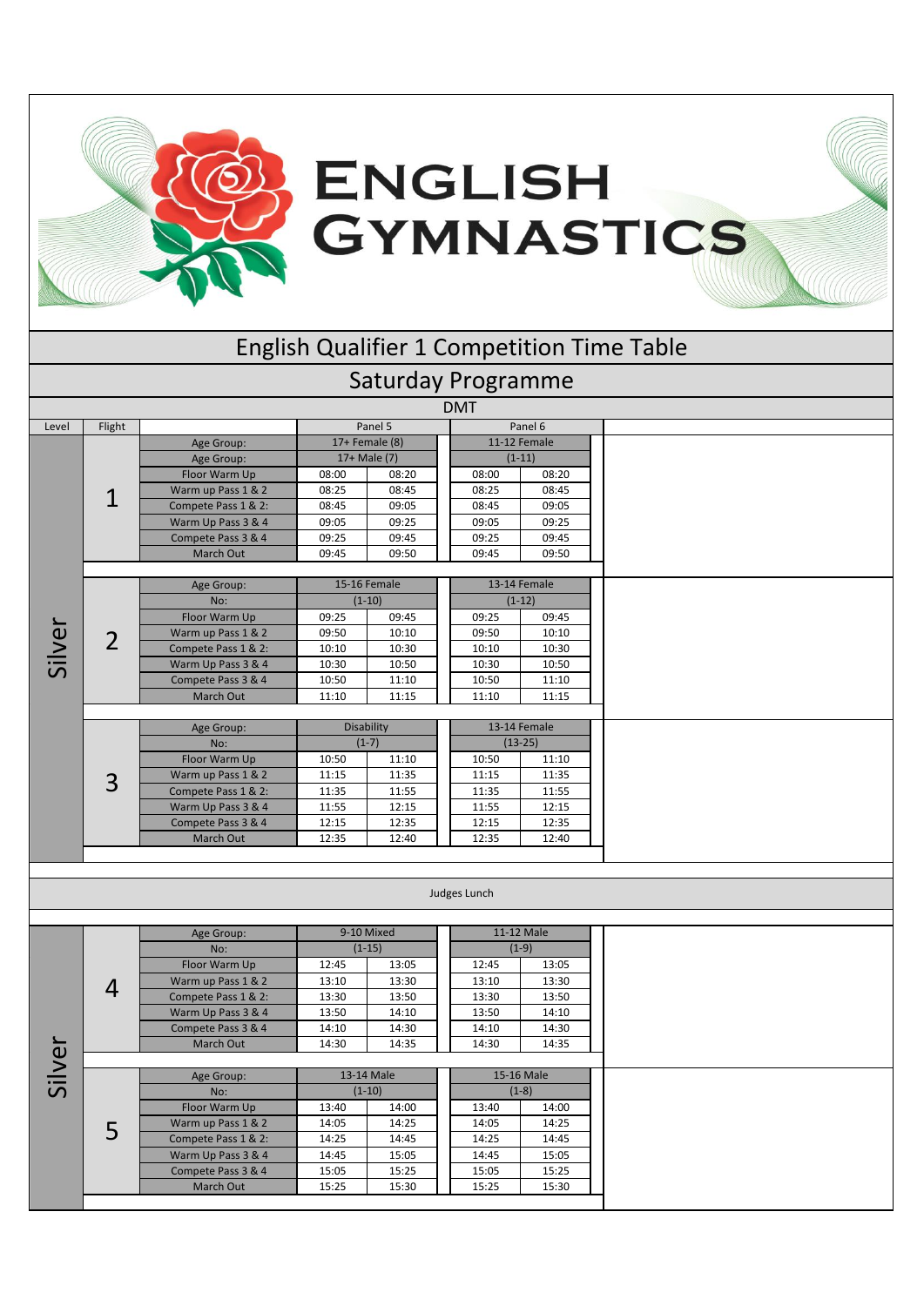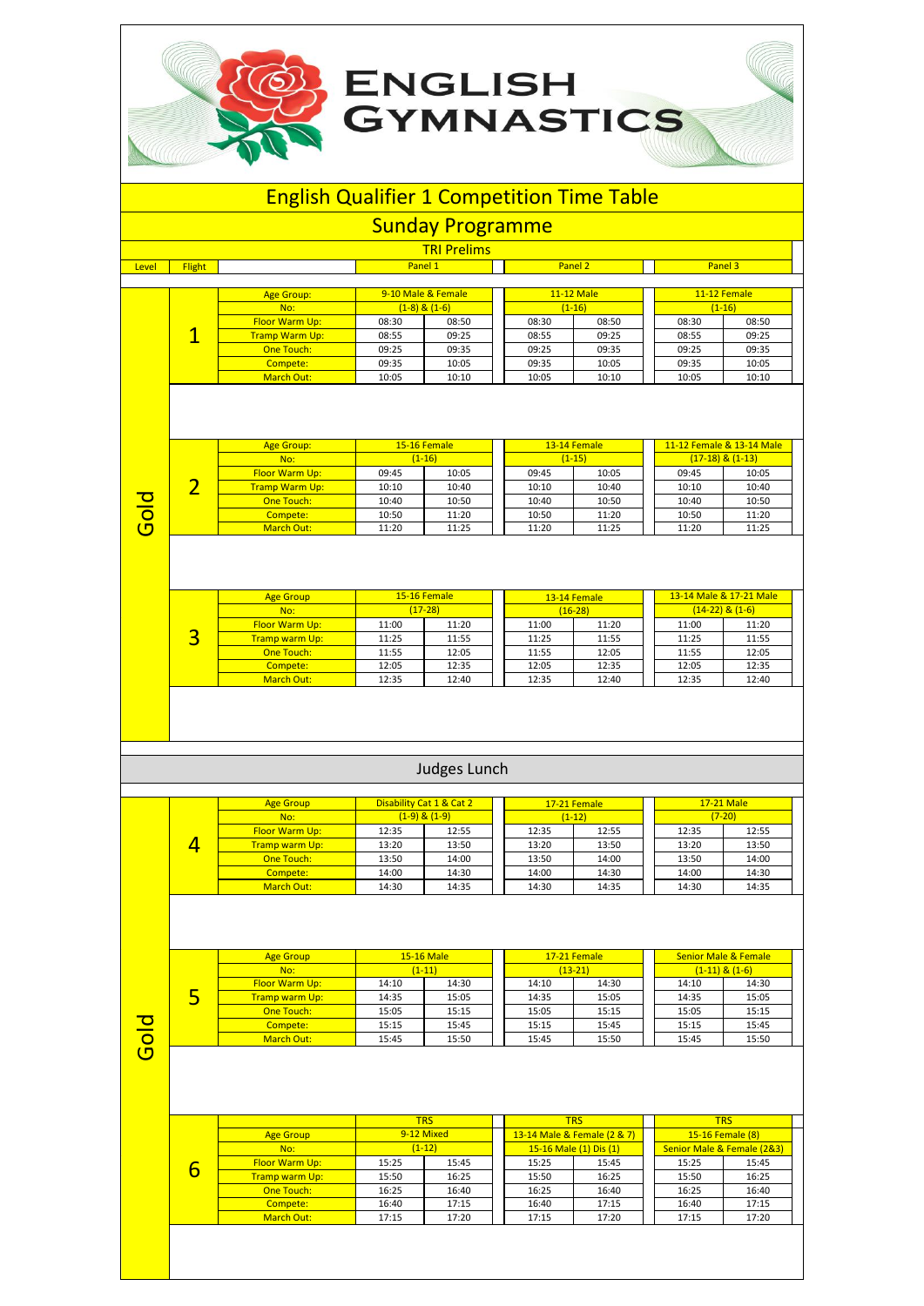## English Qualifier 1 Competition Time Table

ENGLISH<br>GYMNASTICS

|                         |                |                       |         | <b>Sunday Programme</b> |       |              |                           |                      |
|-------------------------|----------------|-----------------------|---------|-------------------------|-------|--------------|---------------------------|----------------------|
|                         |                |                       |         | <b>TRI Prelims</b>      |       |              |                           |                      |
| Level                   | <b>Flight</b>  |                       | Panel 1 |                         |       | Panel 2      |                           | Panel 3              |
|                         |                |                       |         |                         |       |              |                           |                      |
|                         |                | <b>Age Group:</b>     |         | 9-10 Male & Female      |       | 11-12 Male   |                           | 11-12 Female         |
|                         |                | No:                   |         | $(1-8)$ & $(1-6)$       |       | $(1-16)$     |                           | $(1-16)$             |
|                         |                | Floor Warm Up:        | 08:30   | 08:50                   | 08:30 | 08:50        | 08:30                     | 08:50                |
|                         | $\mathbf 1$    | <b>Tramp Warm Up:</b> | 08:55   | 09:25                   | 08:55 | 09:25        | 08:55                     | 09:25                |
|                         |                | One Touch:            | 09:25   | 09:35                   | 09:25 | 09:35        | 09:25                     | 09:35                |
|                         |                | Compete:              | 09:35   | 10:05                   | 09:35 | 10:05        | 09:35                     | 10:05                |
|                         |                | <b>March Out:</b>     | 10:05   | 10:10                   | 10:05 | 10:10        | 10:05                     | 10:10                |
|                         |                | <b>Age Group:</b>     |         | 15-16 Female            |       | 13-14 Female | 11-12 Female & 13-14 Male |                      |
|                         |                | No:                   |         | $(1-16)$                |       | $(1-15)$     |                           | $(17-18)$ & $(1-13)$ |
|                         |                | Floor Warm Up:        | 09:45   | 10:05                   | 09:45 | 10:05        | 09:45                     | 10:05                |
|                         | $\overline{2}$ | <b>Tramp Warm Up:</b> | 10:10   | 10:40                   | 10:10 | 10:40        | 10:10                     | 10:40                |
|                         |                | One Touch:            | 10:40   | 10:50                   | 10:40 | 10:50        | 10:40                     | 10:50                |
| $\overline{a}$          |                | Compete:              | 10:50   | 11:20                   | 10:50 | 11:20        | 10:50                     | 11:20                |
| $\overline{\mathbf{C}}$ |                | <b>March Out:</b>     | 11:20   | 11:25                   | 11:20 | 11:25        | 11:20                     | 11:25                |

|   | <b>Age Group</b><br>No: |       | 15-16 Female<br>$(17-28)$ |       | 13-14 Female<br>$(16-28)$ |       | 13-14 Male & 17-21 Male<br>$(14-22)$ & $(1-6)$ |
|---|-------------------------|-------|---------------------------|-------|---------------------------|-------|------------------------------------------------|
|   |                         |       |                           |       |                           |       |                                                |
|   | <b>Floor Warm Up:</b>   | 11:00 | 11:20                     | 11:00 | 11:20                     | 11:00 | 11:20                                          |
| ت | <b>Tramp warm Up:</b>   | 11:25 | 11:55                     | 11:25 | 11:55                     | 11:25 | 11:55                                          |
|   | One Touch:              | 11:55 | 12:05                     | 11:55 | 12:05                     | 11:55 | 12:05                                          |
|   | Compete:                | 12:05 | 12:35                     | 12:05 | 12:35                     | 12:05 | 12:35                                          |
|   | March Out:              | 12:35 | 12:40                     | 12:35 | 12:40                     | 12:35 | 12:40                                          |

## Judges Lunch

| <b>Age Group</b><br>No: |       | Disability Cat 1 & Cat 2<br>$(1-9)$ & $(1-9)$ |       | 17-21 Female<br>$(1-12)$ | 17-21 Male | $(7-20)$ |
|-------------------------|-------|-----------------------------------------------|-------|--------------------------|------------|----------|
| <b>Floor Warm Up:</b>   | 12:35 | 12:55                                         | 12:35 | 12:55                    | 12:35      | 12:55    |
| <b>Tramp warm Up:</b>   | 13:20 | 13:50                                         | 13:20 | 13:50                    | 13:20      | 13:50    |
| One Touch:              | 13:50 | 14:00                                         | 13:50 | 14:00                    | 13:50      | 14:00    |
| Compete:                | 14:00 | 14:30                                         | 14:00 | 14:30                    | 14:00      | 14:30    |
| March Out:              | 14:30 | 14:35                                         | 14:30 | 14:35                    | 14:30      | 14:35    |

Gold

5

**Leve** 

| <b>Age Group</b>      |       | 15-16 Male |       | 17-21 Female |       | <b>Senior Male &amp; Female</b> |
|-----------------------|-------|------------|-------|--------------|-------|---------------------------------|
| No:                   |       | $(1-11)$   |       | $(13-21)$    |       | $(1-11)$ & $(1-6)$              |
| <b>Floor Warm Up:</b> | 14:10 | 14:30      | 14:10 | 14:30        | 14:10 | 14:30                           |
| Tramp warm Up:        | 14:35 | 15:05      | 14:35 | 15:05        | 14:35 | 15:05                           |
| One Touch:            | 15:05 | 15:15      | 15:05 | 15:15        | 15:05 | 15:15                           |
| Compete:              | 15:15 | 15:45      | 15:15 | 15:45        | 15:15 | 15:45                           |
| March Out:            | 15:45 | 15:50      | 15:45 | 15:50        | 15:45 | 15:50                           |
|                       |       |            |       |              |       |                                 |

|   |                       | <b>TRS</b> |       |  | <b>TRS</b>             |                             |       | <b>TRS</b>                 |       |  |
|---|-----------------------|------------|-------|--|------------------------|-----------------------------|-------|----------------------------|-------|--|
|   | <b>Age Group</b>      | 9-12 Mixed |       |  |                        | 13-14 Male & Female (2 & 7) |       | 15-16 Female (8)           |       |  |
| 6 | No:                   | $(1-12)$   |       |  | 15-16 Male (1) Dis (1) |                             |       | Senior Male & Female (2&3) |       |  |
|   | <b>Floor Warm Up:</b> | 15:25      | 15:45 |  | 15:25                  | 15:45                       | 15:25 | 15:45                      |       |  |
|   | <b>Tramp warm Up:</b> | 15:50      | 16:25 |  | 15:50                  | 16:25                       |       | 15:50                      | 16:25 |  |
|   | One Touch:            | 16:25      | 16:40 |  | 16:25                  | 16:40                       |       | 16:25                      | 16:40 |  |
|   | Compete:              | 16:40      | 17:15 |  | 16:40                  | 17:15                       |       | 16:40                      | 17:15 |  |
|   | March Out:            | 17:15      | 17:20 |  | 17:15                  | 17:20                       |       | 17:15                      | 17:20 |  |